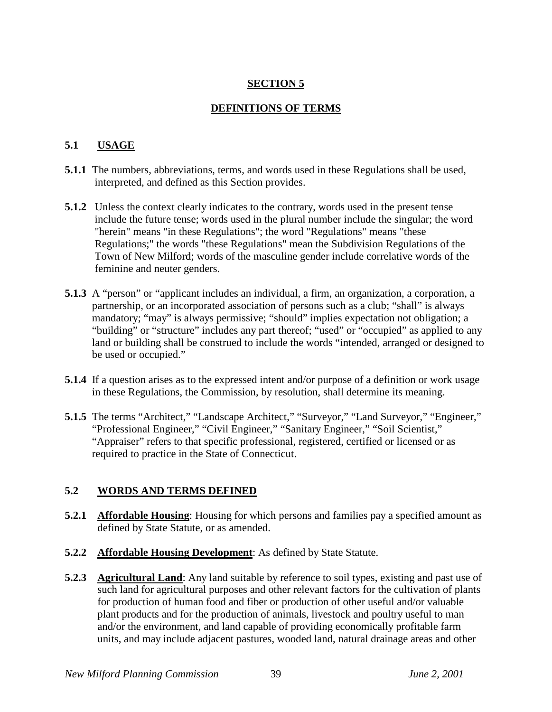## **SECTION 5**

### **DEFINITIONS OF TERMS**

### **5.1 USAGE**

- **5.1.1** The numbers, abbreviations, terms, and words used in these Regulations shall be used, interpreted, and defined as this Section provides.
- **5.1.2** Unless the context clearly indicates to the contrary, words used in the present tense include the future tense; words used in the plural number include the singular; the word "herein" means "in these Regulations"; the word "Regulations" means "these Regulations;" the words "these Regulations" mean the Subdivision Regulations of the Town of New Milford; words of the masculine gender include correlative words of the feminine and neuter genders.
- **5.1.3** A "person" or "applicant includes an individual, a firm, an organization, a corporation, a partnership, or an incorporated association of persons such as a club; "shall" is always mandatory; "may" is always permissive; "should" implies expectation not obligation; a "building" or "structure" includes any part thereof; "used" or "occupied" as applied to any land or building shall be construed to include the words "intended, arranged or designed to be used or occupied."
- **5.1.4** If a question arises as to the expressed intent and/or purpose of a definition or work usage in these Regulations, the Commission, by resolution, shall determine its meaning.
- **5.1.5** The terms "Architect," "Landscape Architect," "Surveyor," "Land Surveyor," "Engineer," "Professional Engineer," "Civil Engineer," "Sanitary Engineer," "Soil Scientist," "Appraiser" refers to that specific professional, registered, certified or licensed or as required to practice in the State of Connecticut.

#### **5.2 WORDS AND TERMS DEFINED**

- **5.2.1 Affordable Housing**: Housing for which persons and families pay a specified amount as defined by State Statute, or as amended.
- **5.2.2 Affordable Housing Development:** As defined by State Statute.
- **5.2.3 Agricultural Land**: Any land suitable by reference to soil types, existing and past use of such land for agricultural purposes and other relevant factors for the cultivation of plants for production of human food and fiber or production of other useful and/or valuable plant products and for the production of animals, livestock and poultry useful to man and/or the environment, and land capable of providing economically profitable farm units, and may include adjacent pastures, wooded land, natural drainage areas and other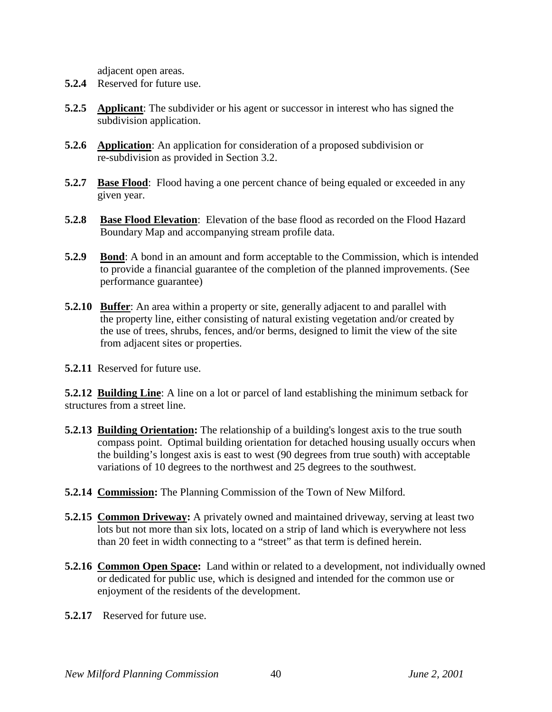adjacent open areas.

- **5.2.4** Reserved for future use.
- **5.2.5 Applicant**: The subdivider or his agent or successor in interest who has signed the subdivision application.
- **5.2.6 Application**: An application for consideration of a proposed subdivision or re-subdivision as provided in Section 3.2.
- **5.2.7 Base Flood**: Flood having a one percent chance of being equaled or exceeded in any given year.
- **5.2.8 Base Flood Elevation**: Elevation of the base flood as recorded on the Flood Hazard Boundary Map and accompanying stream profile data.
- **5.2.9** Bond: A bond in an amount and form acceptable to the Commission, which is intended to provide a financial guarantee of the completion of the planned improvements. (See performance guarantee)
- **5.2.10 Buffer:** An area within a property or site, generally adjacent to and parallel with the property line, either consisting of natural existing vegetation and/or created by the use of trees, shrubs, fences, and/or berms, designed to limit the view of the site from adjacent sites or properties.

**5.2.11** Reserved for future use.

**5.2.12 Building Line**: A line on a lot or parcel of land establishing the minimum setback for structures from a street line.

- **5.2.13 Building Orientation:** The relationship of a building's longest axis to the true south compass point. Optimal building orientation for detached housing usually occurs when the building's longest axis is east to west (90 degrees from true south) with acceptable variations of 10 degrees to the northwest and 25 degrees to the southwest.
- **5.2.14 Commission:** The Planning Commission of the Town of New Milford.
- **5.2.15 Common Driveway:** A privately owned and maintained driveway, serving at least two lots but not more than six lots, located on a strip of land which is everywhere not less than 20 feet in width connecting to a "street" as that term is defined herein.
- **5.2.16 Common Open Space:** Land within or related to a development, not individually owned or dedicated for public use, which is designed and intended for the common use or enjoyment of the residents of the development.
- **5.2.17** Reserved for future use.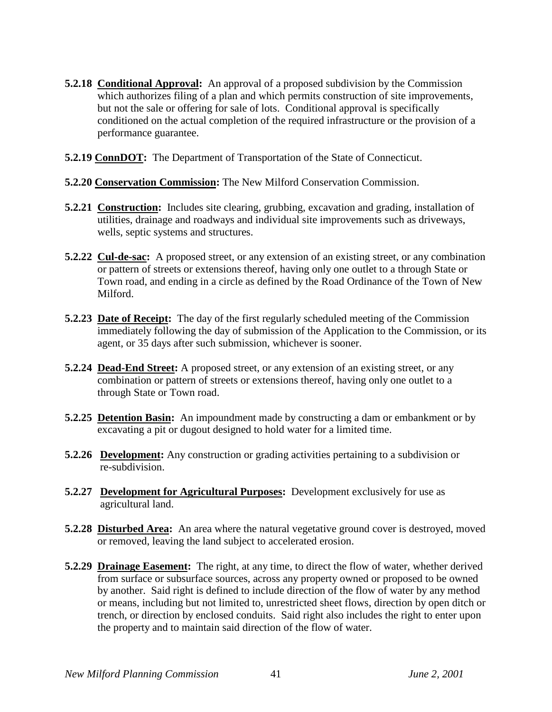- **5.2.18 Conditional Approval:** An approval of a proposed subdivision by the Commission which authorizes filing of a plan and which permits construction of site improvements, but not the sale or offering for sale of lots. Conditional approval is specifically conditioned on the actual completion of the required infrastructure or the provision of a performance guarantee.
- **5.2.19 ConnDOT:** The Department of Transportation of the State of Connecticut.
- **5.2.20 Conservation Commission:** The New Milford Conservation Commission.
- **5.2.21 Construction:** Includes site clearing, grubbing, excavation and grading, installation of utilities, drainage and roadways and individual site improvements such as driveways, wells, septic systems and structures.
- **5.2.22 Cul-de-sac:** A proposed street, or any extension of an existing street, or any combination or pattern of streets or extensions thereof, having only one outlet to a through State or Town road, and ending in a circle as defined by the Road Ordinance of the Town of New Milford.
- **5.2.23 Date of Receipt:** The day of the first regularly scheduled meeting of the Commission immediately following the day of submission of the Application to the Commission, or its agent, or 35 days after such submission, whichever is sooner.
- **5.2.24 Dead-End Street:** A proposed street, or any extension of an existing street, or any combination or pattern of streets or extensions thereof, having only one outlet to a through State or Town road.
- **5.2.25 Detention Basin:** An impoundment made by constructing a dam or embankment or by excavating a pit or dugout designed to hold water for a limited time.
- **5.2.26 Development:** Any construction or grading activities pertaining to a subdivision or re-subdivision.
- **5.2.27 Development for Agricultural Purposes:** Development exclusively for use as agricultural land.
- **5.2.28 Disturbed Area:** An area where the natural vegetative ground cover is destroyed, moved or removed, leaving the land subject to accelerated erosion.
- **5.2.29 Drainage Easement:** The right, at any time, to direct the flow of water, whether derived from surface or subsurface sources, across any property owned or proposed to be owned by another. Said right is defined to include direction of the flow of water by any method or means, including but not limited to, unrestricted sheet flows, direction by open ditch or trench, or direction by enclosed conduits. Said right also includes the right to enter upon the property and to maintain said direction of the flow of water.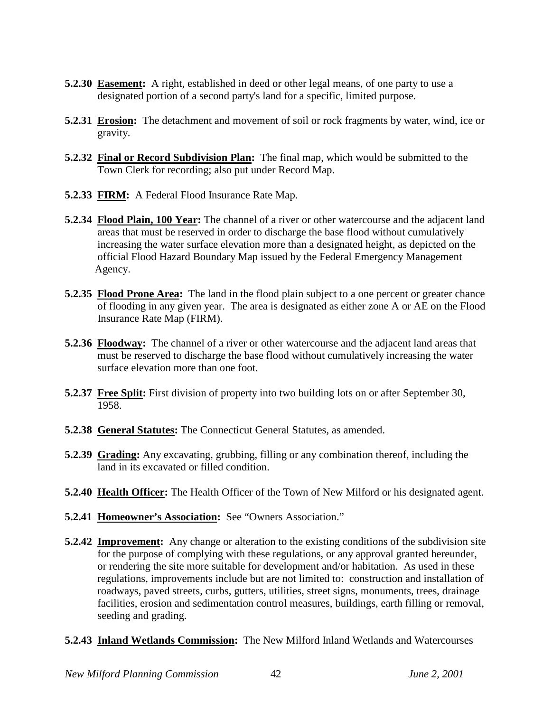- **5.2.30 Easement:** A right, established in deed or other legal means, of one party to use a designated portion of a second party's land for a specific, limited purpose.
- **5.2.31 Erosion:** The detachment and movement of soil or rock fragments by water, wind, ice or gravity.
- **5.2.32 Final or Record Subdivision Plan:** The final map, which would be submitted to the Town Clerk for recording; also put under Record Map.
- **5.2.33 FIRM:** A Federal Flood Insurance Rate Map.
- **5.2.34 Flood Plain, 100 Year:** The channel of a river or other watercourse and the adjacent land areas that must be reserved in order to discharge the base flood without cumulatively increasing the water surface elevation more than a designated height, as depicted on the official Flood Hazard Boundary Map issued by the Federal Emergency Management Agency.
- **5.2.35 Flood Prone Area:** The land in the flood plain subject to a one percent or greater chance of flooding in any given year. The area is designated as either zone A or AE on the Flood Insurance Rate Map (FIRM).
- **5.2.36 Floodway:** The channel of a river or other watercourse and the adjacent land areas that must be reserved to discharge the base flood without cumulatively increasing the water surface elevation more than one foot.
- **5.2.37 Free Split:** First division of property into two building lots on or after September 30, 1958.
- **5.2.38 General Statutes:** The Connecticut General Statutes, as amended.
- **5.2.39 Grading:** Any excavating, grubbing, filling or any combination thereof, including the land in its excavated or filled condition.
- **5.2.40 Health Officer:** The Health Officer of the Town of New Milford or his designated agent.
- **5.2.41 Homeowner's Association:** See "Owners Association."
- **5.2.42 Improvement:** Any change or alteration to the existing conditions of the subdivision site for the purpose of complying with these regulations, or any approval granted hereunder, or rendering the site more suitable for development and/or habitation. As used in these regulations, improvements include but are not limited to: construction and installation of roadways, paved streets, curbs, gutters, utilities, street signs, monuments, trees, drainage facilities, erosion and sedimentation control measures, buildings, earth filling or removal, seeding and grading.
- **5.2.43 Inland Wetlands Commission:** The New Milford Inland Wetlands and Watercourses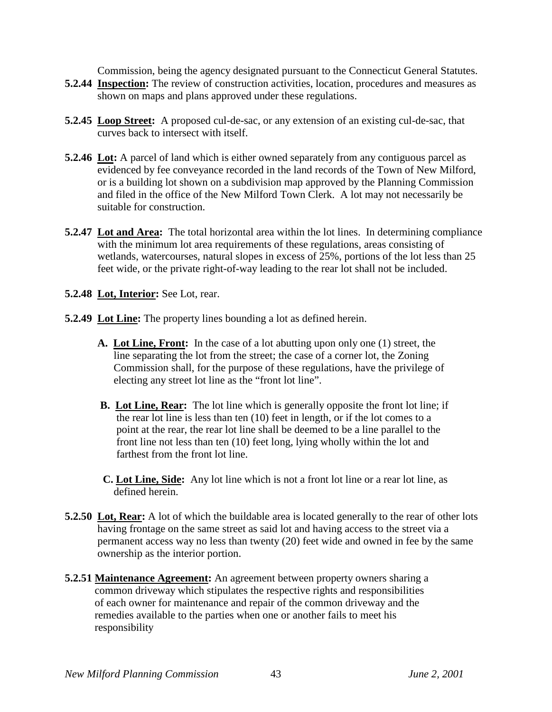Commission, being the agency designated pursuant to the Connecticut General Statutes.

- **5.2.44 Inspection:** The review of construction activities, location, procedures and measures as shown on maps and plans approved under these regulations.
- **5.2.45 Loop Street:** A proposed cul-de-sac, or any extension of an existing cul-de-sac, that curves back to intersect with itself.
- **5.2.46 Lot:** A parcel of land which is either owned separately from any contiguous parcel as evidenced by fee conveyance recorded in the land records of the Town of New Milford, or is a building lot shown on a subdivision map approved by the Planning Commission and filed in the office of the New Milford Town Clerk. A lot may not necessarily be suitable for construction.
- **5.2.47 Lot and Area:** The total horizontal area within the lot lines. In determining compliance with the minimum lot area requirements of these regulations, areas consisting of wetlands, watercourses, natural slopes in excess of 25%, portions of the lot less than 25 feet wide, or the private right-of-way leading to the rear lot shall not be included.
- **5.2.48 Lot, Interior:** See Lot, rear.
- **5.2.49 Lot Line:** The property lines bounding a lot as defined herein.
	- **A. Lot Line, Front:** In the case of a lot abutting upon only one (1) street, the line separating the lot from the street; the case of a corner lot, the Zoning Commission shall, for the purpose of these regulations, have the privilege of electing any street lot line as the "front lot line".
	- **B. Lot Line, Rear:** The lot line which is generally opposite the front lot line; if the rear lot line is less than ten (10) feet in length, or if the lot comes to a point at the rear, the rear lot line shall be deemed to be a line parallel to the front line not less than ten (10) feet long, lying wholly within the lot and farthest from the front lot line.
	- **C. Lot Line, Side:** Any lot line which is not a front lot line or a rear lot line, as defined herein.
- **5.2.50 Lot, Rear:** A lot of which the buildable area is located generally to the rear of other lots having frontage on the same street as said lot and having access to the street via a permanent access way no less than twenty (20) feet wide and owned in fee by the same ownership as the interior portion.
- **5.2.51 Maintenance Agreement:** An agreement between property owners sharing a common driveway which stipulates the respective rights and responsibilities of each owner for maintenance and repair of the common driveway and the remedies available to the parties when one or another fails to meet his responsibility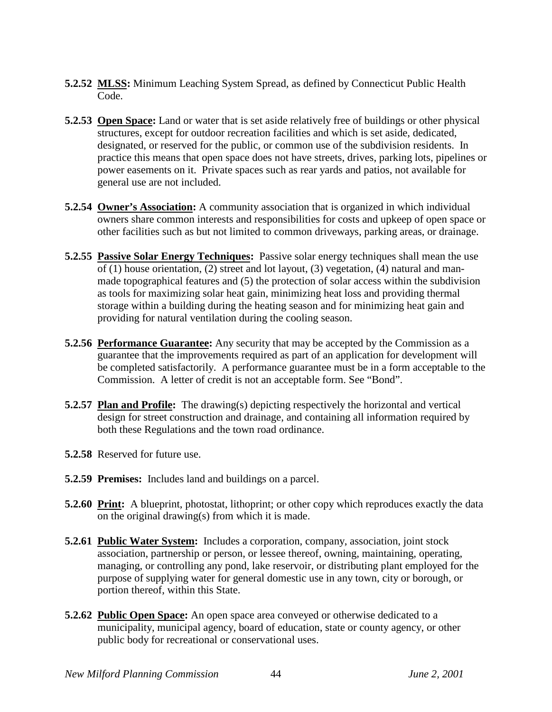- **5.2.52 MLSS:** Minimum Leaching System Spread, as defined by Connecticut Public Health Code.
- **5.2.53 Open Space:** Land or water that is set aside relatively free of buildings or other physical structures, except for outdoor recreation facilities and which is set aside, dedicated, designated, or reserved for the public, or common use of the subdivision residents. In practice this means that open space does not have streets, drives, parking lots, pipelines or power easements on it. Private spaces such as rear yards and patios, not available for general use are not included.
- **5.2.54 Owner's Association:** A community association that is organized in which individual owners share common interests and responsibilities for costs and upkeep of open space or other facilities such as but not limited to common driveways, parking areas, or drainage.
- **5.2.55 Passive Solar Energy Techniques:** Passive solar energy techniques shall mean the use of (1) house orientation, (2) street and lot layout, (3) vegetation, (4) natural and man made topographical features and (5) the protection of solar access within the subdivision as tools for maximizing solar heat gain, minimizing heat loss and providing thermal storage within a building during the heating season and for minimizing heat gain and providing for natural ventilation during the cooling season.
- **5.2.56 Performance Guarantee:** Any security that may be accepted by the Commission as a guarantee that the improvements required as part of an application for development will be completed satisfactorily. A performance guarantee must be in a form acceptable to the Commission. A letter of credit is not an acceptable form. See "Bond".
- **5.2.57 Plan and Profile:** The drawing(s) depicting respectively the horizontal and vertical design for street construction and drainage, and containing all information required by both these Regulations and the town road ordinance.
- **5.2.58** Reserved for future use.
- **5.2.59 Premises:** Includes land and buildings on a parcel.
- **5.2.60 Print:** A blueprint, photostat, lithoprint; or other copy which reproduces exactly the data on the original drawing(s) from which it is made.
- **5.2.61 Public Water System:** Includes a corporation, company, association, joint stock association, partnership or person, or lessee thereof, owning, maintaining, operating, managing, or controlling any pond, lake reservoir, or distributing plant employed for the purpose of supplying water for general domestic use in any town, city or borough, or portion thereof, within this State.
- **5.2.62 Public Open Space:** An open space area conveyed or otherwise dedicated to a municipality, municipal agency, board of education, state or county agency, or other public body for recreational or conservational uses.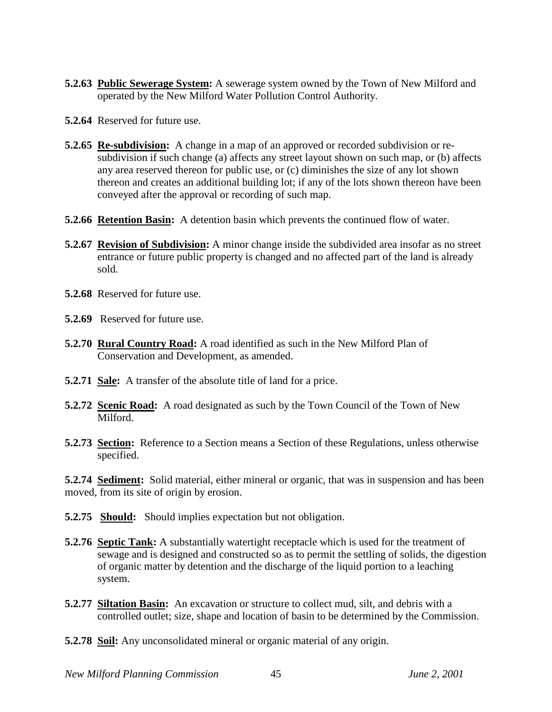- **5.2.63 Public Sewerage System:** A sewerage system owned by the Town of New Milford and operated by the New Milford Water Pollution Control Authority.
- **5.2.64** Reserved for future use.
- **5.2.65 Re-subdivision:** A change in a map of an approved or recorded subdivision or re subdivision if such change (a) affects any street layout shown on such map, or (b) affects any area reserved thereon for public use, or (c) diminishes the size of any lot shown thereon and creates an additional building lot; if any of the lots shown thereon have been conveyed after the approval or recording of such map.
- **5.2.66 Retention Basin:** A detention basin which prevents the continued flow of water.
- **5.2.67 Revision of Subdivision:** A minor change inside the subdivided area insofar as no street entrance or future public property is changed and no affected part of the land is already sold.
- **5.2.68** Reserved for future use.
- **5.2.69** Reserved for future use.
- **5.2.70 Rural Country Road:** A road identified as such in the New Milford Plan of Conservation and Development, as amended.
- **5.2.71 Sale:** A transfer of the absolute title of land for a price.
- **5.2.72 Scenic Road:** A road designated as such by the Town Council of the Town of New Milford.
- **5.2.73 Section:** Reference to a Section means a Section of these Regulations, unless otherwise specified.

**5.2.74 Sediment:** Solid material, either mineral or organic, that was in suspension and has been moved, from its site of origin by erosion.

- **5.2.75 Should:** Should implies expectation but not obligation.
- **5.2.76 Septic Tank:** A substantially watertight receptacle which is used for the treatment of sewage and is designed and constructed so as to permit the settling of solids, the digestion of organic matter by detention and the discharge of the liquid portion to a leaching system.
- **5.2.77 Siltation Basin:** An excavation or structure to collect mud, silt, and debris with a controlled outlet; size, shape and location of basin to be determined by the Commission.
- **5.2.78 Soil:** Any unconsolidated mineral or organic material of any origin.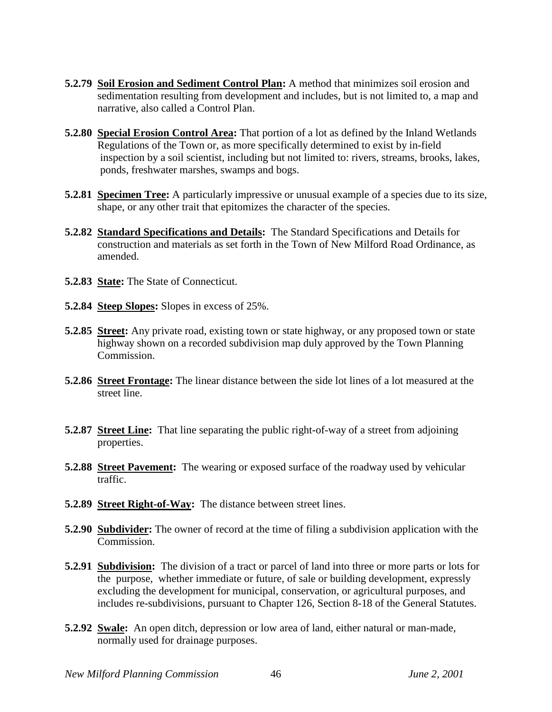- **5.2.79 Soil Erosion and Sediment Control Plan:** A method that minimizes soil erosion and sedimentation resulting from development and includes, but is not limited to, a map and narrative, also called a Control Plan.
- **5.2.80 Special Erosion Control Area:** That portion of a lot as defined by the Inland Wetlands Regulations of the Town or, as more specifically determined to exist by in-field inspection by a soil scientist, including but not limited to: rivers, streams, brooks, lakes, ponds, freshwater marshes, swamps and bogs.
- **5.2.81 Specimen Tree:** A particularly impressive or unusual example of a species due to its size, shape, or any other trait that epitomizes the character of the species.
- **5.2.82 Standard Specifications and Details:** The Standard Specifications and Details for construction and materials as set forth in the Town of New Milford Road Ordinance, as amended.
- **5.2.83 State:** The State of Connecticut.
- **5.2.84 Steep Slopes:** Slopes in excess of 25%.
- **5.2.85 Street:** Any private road, existing town or state highway, or any proposed town or state highway shown on a recorded subdivision map duly approved by the Town Planning Commission.
- **5.2.86 Street Frontage:** The linear distance between the side lot lines of a lot measured at the street line.
- **5.2.87 Street Line:** That line separating the public right-of-way of a street from adjoining properties.
- **5.2.88 Street Pavement:** The wearing or exposed surface of the roadway used by vehicular traffic.
- **5.2.89 Street Right-of-Way:** The distance between street lines.
- **5.2.90 Subdivider:** The owner of record at the time of filing a subdivision application with the Commission.
- **5.2.91 Subdivision:** The division of a tract or parcel of land into three or more parts or lots for the purpose, whether immediate or future, of sale or building development, expressly excluding the development for municipal, conservation, or agricultural purposes, and includes re-subdivisions, pursuant to Chapter 126, Section 8-18 of the General Statutes.
- **5.2.92 Swale:** An open ditch, depression or low area of land, either natural or man-made, normally used for drainage purposes.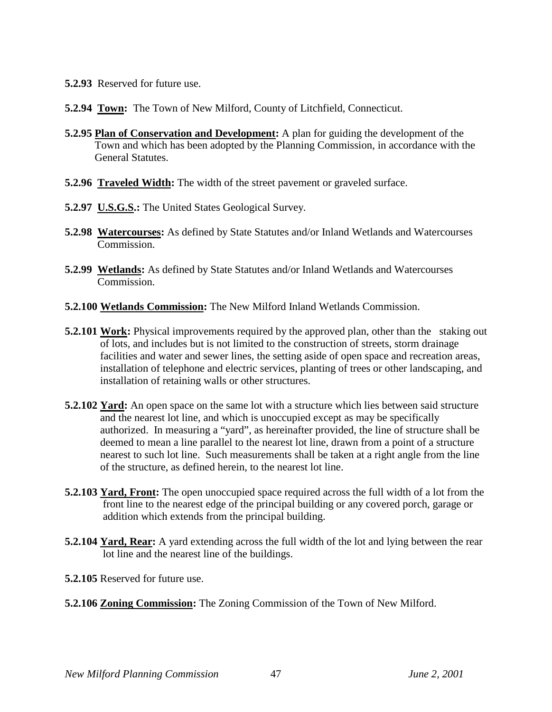- **5.2.93** Reserved for future use.
- **5.2.94 Town:** The Town of New Milford, County of Litchfield, Connecticut.
- **5.2.95 Plan of Conservation and Development:** A plan for guiding the development of the Town and which has been adopted by the Planning Commission, in accordance with the General Statutes.
- **5.2.96 Traveled Width:** The width of the street pavement or graveled surface.
- **5.2.97 U.S.G.S.:** The United States Geological Survey.
- **5.2.98 Watercourses:** As defined by State Statutes and/or Inland Wetlands and Watercourses Commission.
- **5.2.99 Wetlands:** As defined by State Statutes and/or Inland Wetlands and Watercourses Commission.
- **5.2.100 Wetlands Commission:** The New Milford Inland Wetlands Commission.
- **5.2.101 Work:** Physical improvements required by the approved plan, other than the staking out of lots, and includes but is not limited to the construction of streets, storm drainage facilities and water and sewer lines, the setting aside of open space and recreation areas, installation of telephone and electric services, planting of trees or other landscaping, and installation of retaining walls or other structures.
- **5.2.102 Yard:** An open space on the same lot with a structure which lies between said structure and the nearest lot line, and which is unoccupied except as may be specifically authorized. In measuring a "yard", as hereinafter provided, the line of structure shall be deemed to mean a line parallel to the nearest lot line, drawn from a point of a structure nearest to such lot line. Such measurements shall be taken at a right angle from the line of the structure, as defined herein, to the nearest lot line.
- **5.2.103 Yard, Front:** The open unoccupied space required across the full width of a lot from the front line to the nearest edge of the principal building or any covered porch, garage or addition which extends from the principal building.
- **5.2.104 Yard, Rear:** A yard extending across the full width of the lot and lying between the rear lot line and the nearest line of the buildings.
- **5.2.105** Reserved for future use.
- **5.2.106 Zoning Commission:** The Zoning Commission of the Town of New Milford.